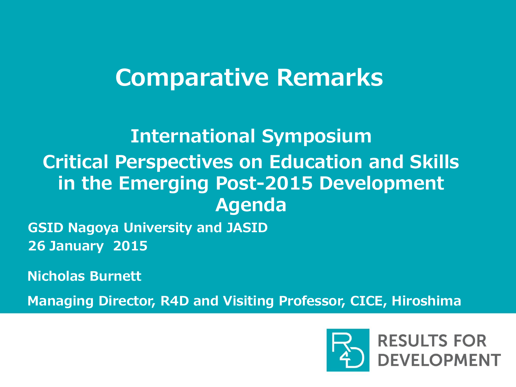# Comparative Remarks

## International Symposium Critical Perspectives on Education and Skills in the Emerging Post-2015 Development Agenda

GSID Nagoya University and JASID 26 January 2015

Nicholas Burnett

Managing Director, R4D and Visiting Professor, CICE, Hiroshima

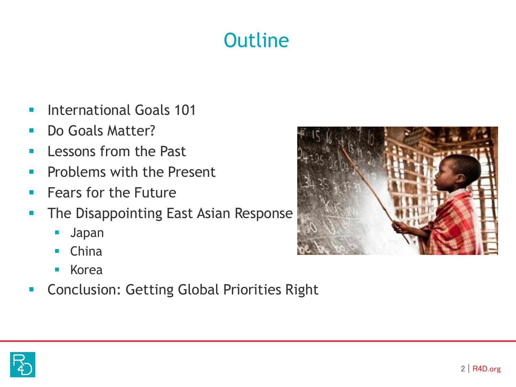## **Outline**

- **International Goals 101**
- Do Goals Matter?
- **Lessons from the Past**
- **Problems with the Present**
- $\blacksquare$  Fears for the Future
- **The Disappointing East Asian Response** 
	- Japan
	- **China**
	- **Korea**
- **Conclusion: Getting Global Priorities Right**



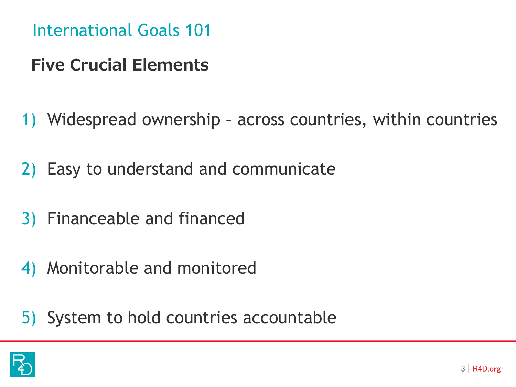International Goals 101

## Five Crucial Elements

- 1) Widespread ownership across countries, within countries
- 2) Easy to understand and communicate
- 3) Financeable and financed
- 4) Monitorable and monitored
- 5) System to hold countries accountable

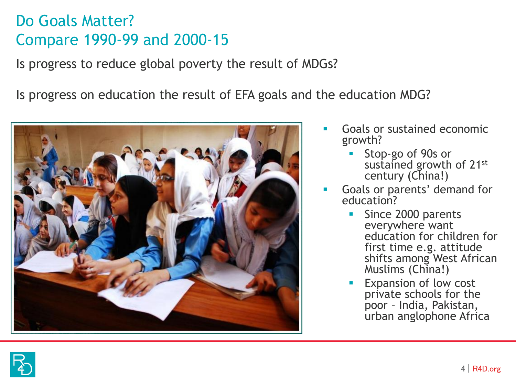#### Do Goals Matter? Compare 1990-99 and 2000-15

Is progress to reduce global poverty the result of MDGs?

Is progress on education the result of EFA goals and the education MDG?



- Goals or sustained economic growth?
	- Stop-go of 90s or sustained growth of 21st century (China!)
- Goals or parents' demand for education?
	- Since 2000 parents everywhere want education for children for first time e.g. attitude shifts among West African Muslims (China!)
	- Expansion of low cost private schools for the poor – India, Pakistan, urban anglophone Africa

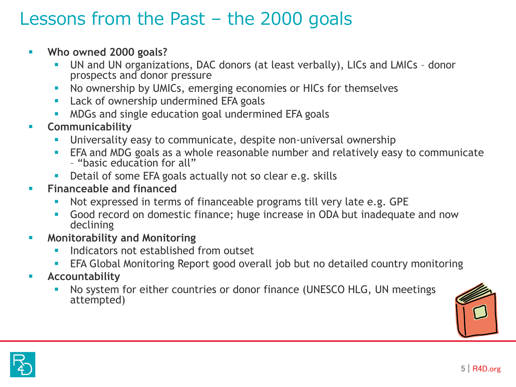#### $\frac{1}{2}$ Lessons from the Past – the 2000 goals

- **Who owned 2000 goals?**
	- UN and UN organizations, DAC donors (at least verbally), LICs and LMICs donor prospects and donor pressure
	- No ownership by UMICs, emerging economies or HICs for themselves
	- **Lack of ownership undermined EFA goals**
	- MDGs and single education goal undermined EFA goals
- **E** Communicability
	- **Universality easy to communicate, despite non-universal ownership**
	- **EFA and MDG goals as a whole reasonable number and relatively easy to communicate** – "basic education for all"
	- Detail of some EFA goals actually not so clear e.g. skills
- **Financeable and financed** 
	- Not expressed in terms of financeable programs till very late e.g. GPE
	- Good record on domestic finance; huge increase in ODA but inadequate and now declining
- **Kanal Monitorability and Monitoring** 
	- **Indicators not established from outset**
	- EFA Global Monitoring Report good overall job but no detailed country monitoring
- **Accountability** 
	- No system for either countries or donor finance (UNESCO HLG, UN meetings attempted)



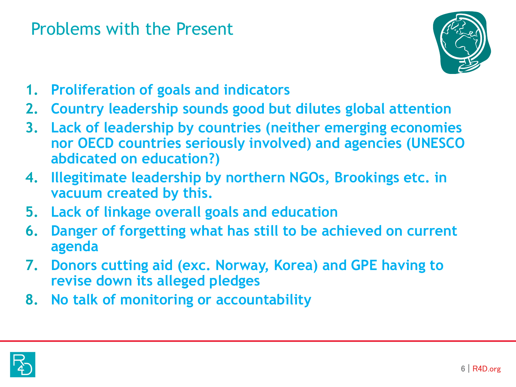### Problems with the Present



- **1. Proliferation of goals and indicators**
- **2. Country leadership sounds good but dilutes global attention**
- **3. Lack of leadership by countries (neither emerging economies nor OECD countries seriously involved) and agencies (UNESCO abdicated on education?)**
- **4. Illegitimate leadership by northern NGOs, Brookings etc. in vacuum created by this.**
- **5. Lack of linkage overall goals and education**
- **6. Danger of forgetting what has still to be achieved on current agenda**
- **7. Donors cutting aid (exc. Norway, Korea) and GPE having to revise down its alleged pledges**
- **8. No talk of monitoring or accountability**

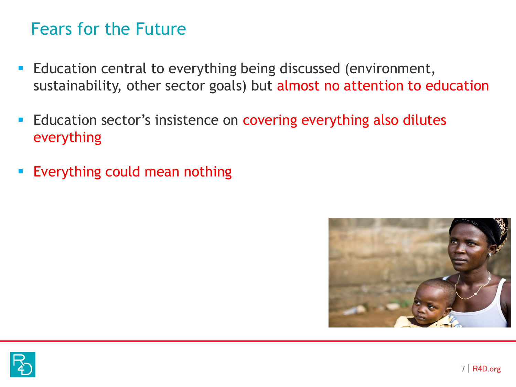#### Fears for the Future

- **Education central to everything being discussed (environment,** sustainability, other sector goals) but almost no attention to education
- **Education sector's insistence on covering everything also dilutes** everything
- **Everything could mean nothing**



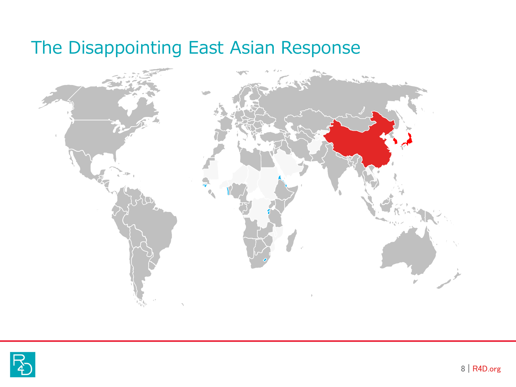## The Disappointing East Asian Response



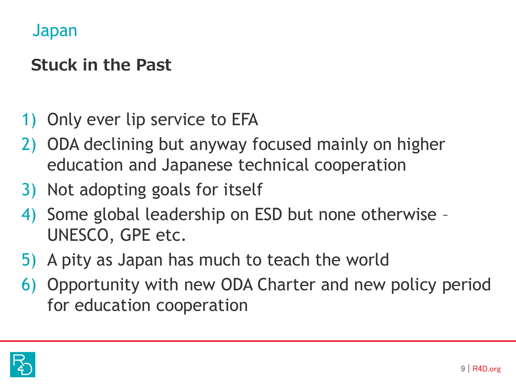#### Japan

## Stuck in the Past

- 1) Only ever lip service to EFA
- 2) ODA declining but anyway focused mainly on higher education and Japanese technical cooperation
- 3) Not adopting goals for itself
- 4) Some global leadership on ESD but none otherwise UNESCO, GPE etc.
- 5) A pity as Japan has much to teach the world
- 6) Opportunity with new ODA Charter and new policy period for education cooperation

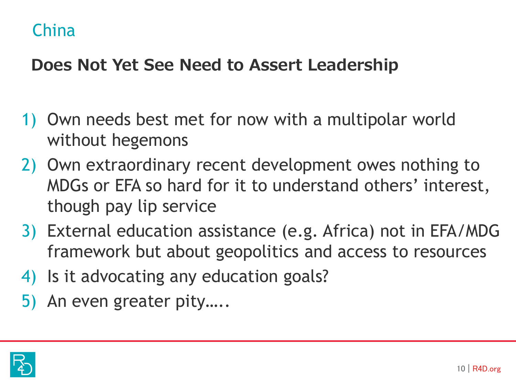### China

### Does Not Yet See Need to Assert Leadership

- 1) Own needs best met for now with a multipolar world without hegemons
- 2) Own extraordinary recent development owes nothing to MDGs or EFA so hard for it to understand others' interest, though pay lip service
- 3) External education assistance (e.g. Africa) not in EFA/MDG framework but about geopolitics and access to resources
- 4) Is it advocating any education goals?
- 5) An even greater pity…..

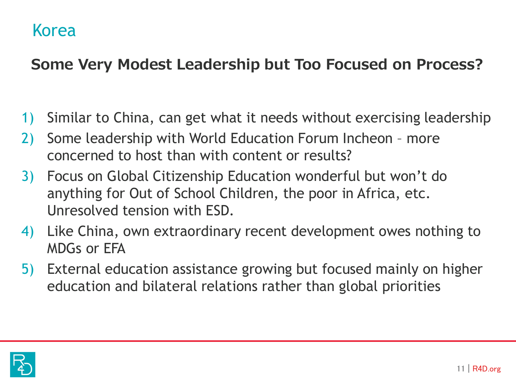#### Korea

#### Some Very Modest Leadership but Too Focused on Process?

- 1) Similar to China, can get what it needs without exercising leadership
- 2) Some leadership with World Education Forum Incheon more concerned to host than with content or results?
- 3) Focus on Global Citizenship Education wonderful but won't do anything for Out of School Children, the poor in Africa, etc. Unresolved tension with ESD.
- 4) Like China, own extraordinary recent development owes nothing to MDGs or EFA
- 5) External education assistance growing but focused mainly on higher education and bilateral relations rather than global priorities